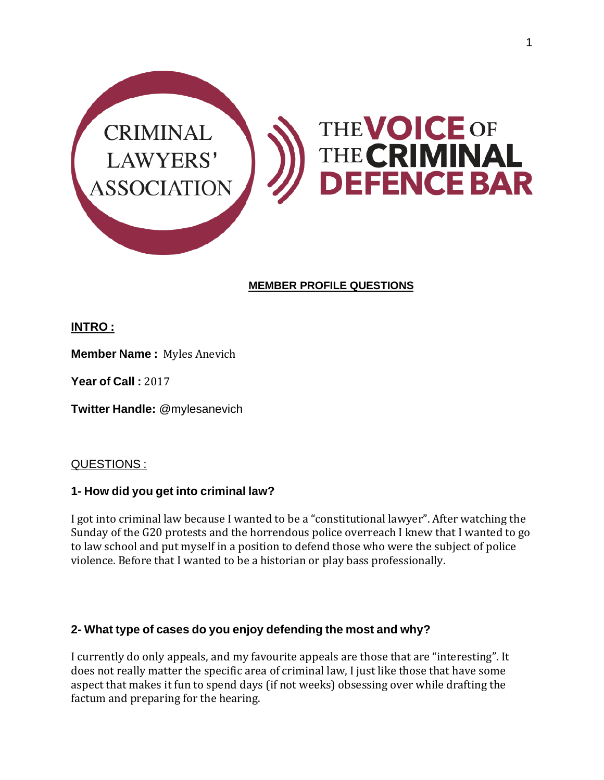

### **MEMBER PROFILE QUESTIONS**

## **INTRO :**

**Member Name :** Myles Anevich

**Year of Call :** 2017

**Twitter Handle:** @mylesanevich

### QUESTIONS :

### **1- How did you get into criminal law?**

I got into criminal law because I wanted to be a "constitutional lawyer". After watching the Sunday of the G20 protests and the horrendous police overreach I knew that I wanted to go to law school and put myself in a position to defend those who were the subject of police violence. Before that I wanted to be a historian or play bass professionally.

### **2- What type of cases do you enjoy defending the most and why?**

I currently do only appeals, and my favourite appeals are those that are "interesting". It does not really matter the specific area of criminal law, I just like those that have some aspect that makes it fun to spend days (if not weeks) obsessing over while drafting the factum and preparing for the hearing.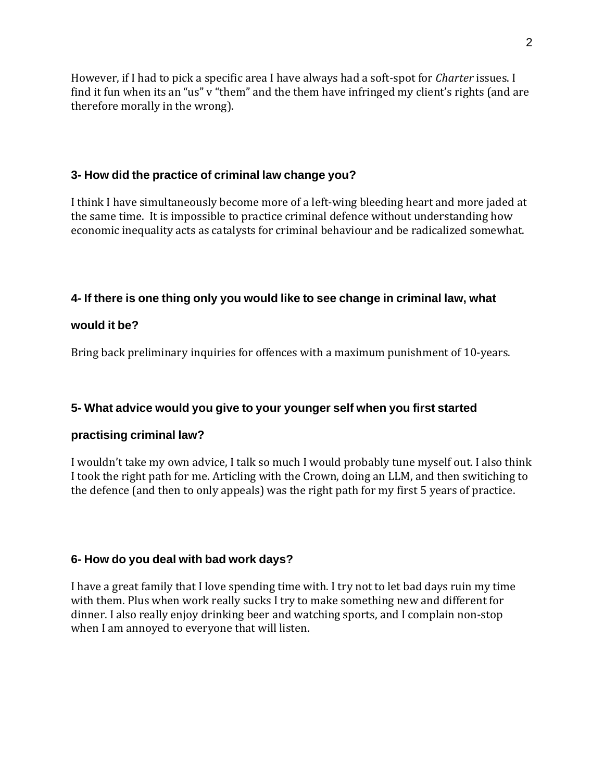However, if I had to pick a specific area I have always had a soft-spot for *Charter* issues. I find it fun when its an "us" v "them" and the them have infringed my client's rights (and are therefore morally in the wrong).

## **3- How did the practice of criminal law change you?**

I think I have simultaneously become more of a left-wing bleeding heart and more jaded at the same time. It is impossible to practice criminal defence without understanding how economic inequality acts as catalysts for criminal behaviour and be radicalized somewhat.

## **4- If there is one thing only you would like to see change in criminal law, what**

## **would it be?**

Bring back preliminary inquiries for offences with a maximum punishment of 10-years.

# **5- What advice would you give to your younger self when you first started**

# **practising criminal law?**

I wouldn't take my own advice, I talk so much I would probably tune myself out. I also think I took the right path for me. Articling with the Crown, doing an LLM, and then switiching to the defence (and then to only appeals) was the right path for my first 5 years of practice.

# **6- How do you deal with bad work days?**

I have a great family that I love spending time with. I try not to let bad days ruin my time with them. Plus when work really sucks I try to make something new and different for dinner. I also really enjoy drinking beer and watching sports, and I complain non-stop when I am annoyed to everyone that will listen.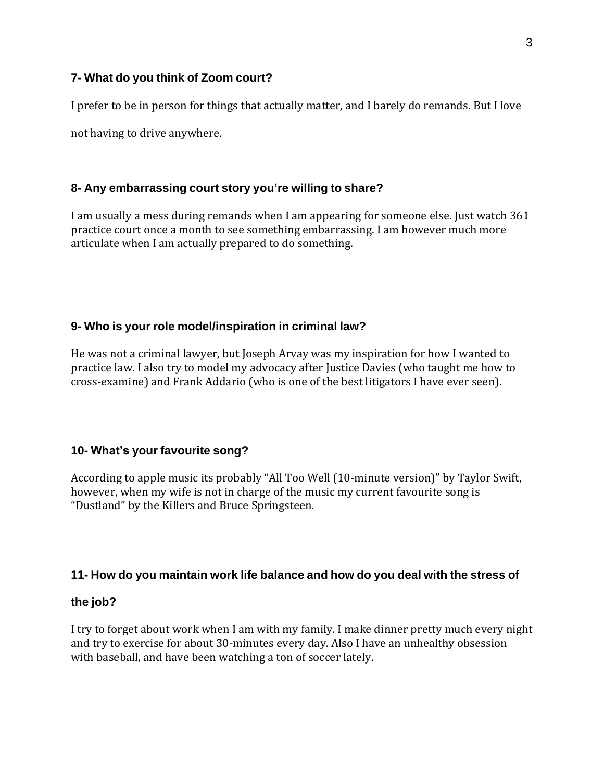### **7- What do you think of Zoom court?**

I prefer to be in person for things that actually matter, and I barely do remands. But I love

not having to drive anywhere.

### **8- Any embarrassing court story you're willing to share?**

I am usually a mess during remands when I am appearing for someone else. Just watch 361 practice court once a month to see something embarrassing. I am however much more articulate when I am actually prepared to do something.

#### **9- Who is your role model/inspiration in criminal law?**

He was not a criminal lawyer, but Joseph Arvay was my inspiration for how I wanted to practice law. I also try to model my advocacy after Justice Davies (who taught me how to cross-examine) and Frank Addario (who is one of the best litigators I have ever seen).

### **10- What's your favourite song?**

According to apple music its probably "All Too Well (10-minute version)" by Taylor Swift, however, when my wife is not in charge of the music my current favourite song is "Dustland" by the Killers and Bruce Springsteen.

#### **11- How do you maintain work life balance and how do you deal with the stress of**

#### **the job?**

I try to forget about work when I am with my family. I make dinner pretty much every night and try to exercise for about 30-minutes every day. Also I have an unhealthy obsession with baseball, and have been watching a ton of soccer lately.